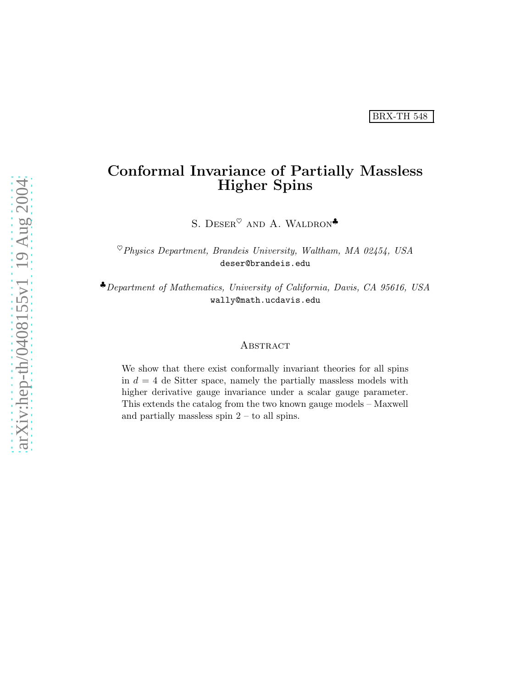# Conformal Invariance of Partially Massless Higher Spins

S. DESER<sup> $\heartsuit$ </sup> AND A. WALDRON<sup>\*</sup>

 ${}^{\heartsuit}$ Physics Department, Brandeis University, Waltham, MA 02454, USA deser@brandeis.edu

♣Department of Mathematics, University of California, Davis, CA 95616, USA wally@math.ucdavis.edu

#### **ABSTRACT**

We show that there exist conformally invariant theories for all spins in  $d = 4$  de Sitter space, namely the partially massless models with higher derivative gauge invariance under a scalar gauge parameter. This extends the catalog from the two known gauge models – Maxwell and partially massless spin  $2 -$  to all spins.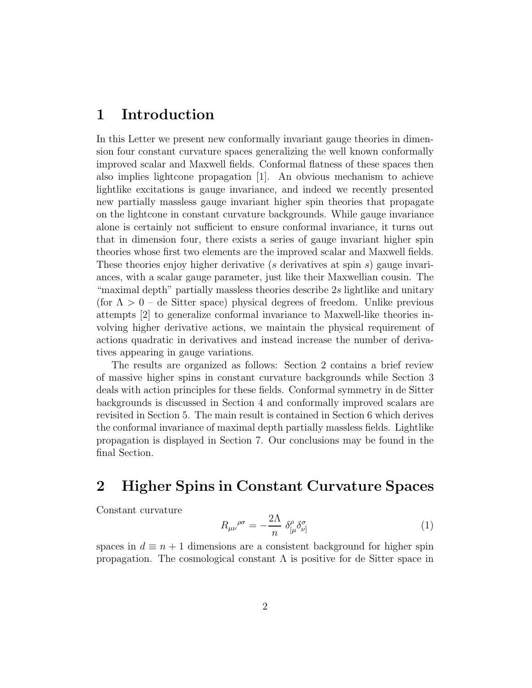### 1 Introduction

In this Letter we present new conformally invariant gauge theories in dimension four constant curvature spaces generalizing the well known conformally improved scalar and Maxwell fields. Conformal flatness of these spaces then also implies lightcone propagation [1]. An obvious mechanism to achieve lightlike excitations is gauge invariance, and indeed we recently presented new partially massless gauge invariant higher spin theories that propagate on the lightcone in constant curvature backgrounds. While gauge invariance alone is certainly not sufficient to ensure conformal invariance, it turns out that in dimension four, there exists a series of gauge invariant higher spin theories whose first two elements are the improved scalar and Maxwell fields. These theories enjoy higher derivative (s derivatives at spin s) gauge invariances, with a scalar gauge parameter, just like their Maxwellian cousin. The "maximal depth" partially massless theories describe 2s lightlike and unitary (for  $\Lambda > 0$  – de Sitter space) physical degrees of freedom. Unlike previous attempts [2] to generalize conformal invariance to Maxwell-like theories involving higher derivative actions, we maintain the physical requirement of actions quadratic in derivatives and instead increase the number of derivatives appearing in gauge variations.

The results are organized as follows: Section 2 contains a brief review of massive higher spins in constant curvature backgrounds while Section 3 deals with action principles for these fields. Conformal symmetry in de Sitter backgrounds is discussed in Section 4 and conformally improved scalars are revisited in Section 5. The main result is contained in Section 6 which derives the conformal invariance of maximal depth partially massless fields. Lightlike propagation is displayed in Section 7. Our conclusions may be found in the final Section.

# 2 Higher Spins in Constant Curvature Spaces

Constant curvature

$$
R_{\mu\nu}^{\ \ \rho\sigma} = -\frac{2\Lambda}{n} \ \delta^{\rho}_{[\mu} \delta^{\sigma}_{\nu]} \tag{1}
$$

spaces in  $d \equiv n + 1$  dimensions are a consistent background for higher spin propagation. The cosmological constant  $\Lambda$  is positive for de Sitter space in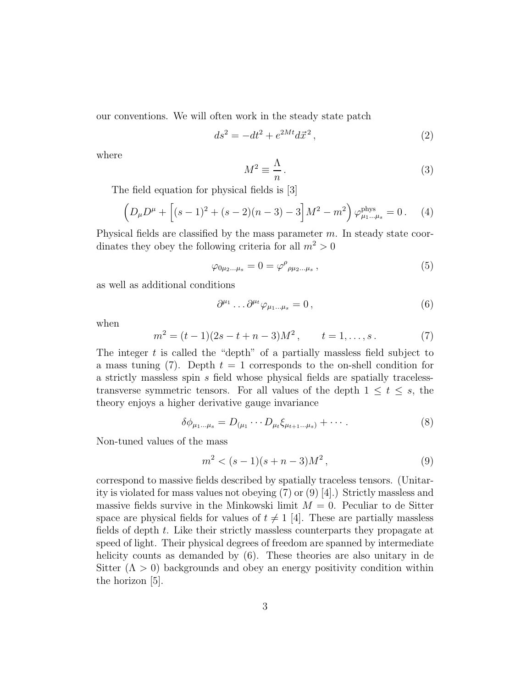our conventions. We will often work in the steady state patch

$$
ds^2 = -dt^2 + e^{2Mt} d\vec{x}^2,
$$
\t(2)

where

$$
M^2 \equiv \frac{\Lambda}{n} \,. \tag{3}
$$

The field equation for physical fields is [3]

$$
\left(D_{\mu}D^{\mu} + \left[(s-1)^{2} + (s-2)(n-3) - 3\right]M^{2} - m^{2}\right)\varphi_{\mu_{1}...\mu_{s}}^{\text{phys}} = 0. \quad (4)
$$

Physical fields are classified by the mass parameter  $m$ . In steady state coordinates they obey the following criteria for all  $m^2 > 0$ 

$$
\varphi_{0\mu_2\ldots\mu_s} = 0 = \varphi^{\rho}{}_{\rho\mu_2\ldots\mu_s} ,\qquad (5)
$$

as well as additional conditions

$$
\partial^{\mu_1} \dots \partial^{\mu_t} \varphi_{\mu_1 \dots \mu_s} = 0 \,, \tag{6}
$$

when

$$
m2 = (t-1)(2s - t + n - 3)M2, \t t = 1,...,s.
$$
 (7)

The integer  $t$  is called the "depth" of a partially massless field subject to a mass tuning (7). Depth  $t = 1$  corresponds to the on-shell condition for a strictly massless spin s field whose physical fields are spatially tracelesstransverse symmetric tensors. For all values of the depth  $1 \leq t \leq s$ , the theory enjoys a higher derivative gauge invariance

$$
\delta\phi_{\mu_1\ldots\mu_s} = D_{(\mu_1}\cdots D_{\mu_t}\xi_{\mu_{t+1}\ldots\mu_s)} + \cdots \tag{8}
$$

Non-tuned values of the mass

$$
m^2 < (s-1)(s+n-3)M^2 \,,\tag{9}
$$

correspond to massive fields described by spatially traceless tensors. (Unitarity is violated for mass values not obeying (7) or (9) [4].) Strictly massless and massive fields survive in the Minkowski limit  $M = 0$ . Peculiar to de Sitter space are physical fields for values of  $t \neq 1$  [4]. These are partially massless fields of depth t. Like their strictly massless counterparts they propagate at speed of light. Their physical degrees of freedom are spanned by intermediate helicity counts as demanded by (6). These theories are also unitary in de Sitter  $(Λ > 0)$  backgrounds and obey an energy positivity condition within the horizon [5].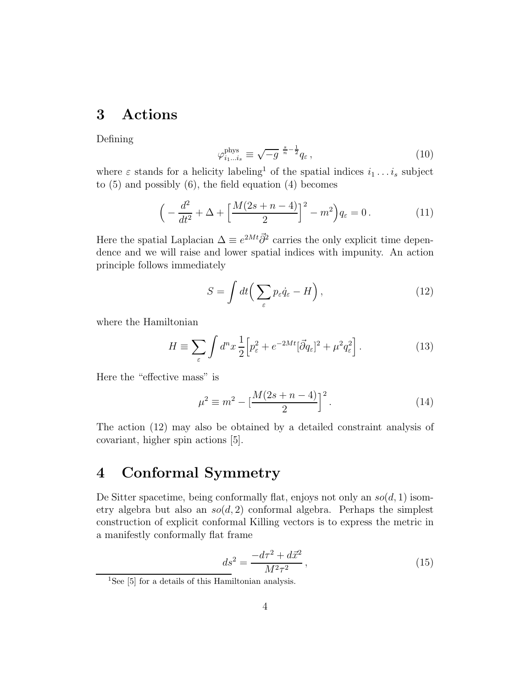# 3 Actions

Defining

$$
\varphi_{i_1...i_s}^{\text{phys}} \equiv \sqrt{-g}^{\frac{s}{n}-\frac{1}{2}} q_\varepsilon \,, \tag{10}
$$

where  $\varepsilon$  stands for a helicity labeling<sup>1</sup> of the spatial indices  $i_1 \ldots i_s$  subject to  $(5)$  and possibly  $(6)$ , the field equation  $(4)$  becomes

$$
\left(-\frac{d^2}{dt^2} + \Delta + \left[\frac{M(2s+n-4)}{2}\right]^2 - m^2\right)q_{\varepsilon} = 0.
$$
 (11)

Here the spatial Laplacian  $\Delta \equiv e^{2Mt}\vec{\partial}^2$  carries the only explicit time dependence and we will raise and lower spatial indices with impunity. An action principle follows immediately

$$
S = \int dt \left( \sum_{\varepsilon} p_{\varepsilon} \dot{q}_{\varepsilon} - H \right), \qquad (12)
$$

where the Hamiltonian

$$
H \equiv \sum_{\varepsilon} \int d^n x \, \frac{1}{2} \Big[ p_\varepsilon^2 + e^{-2Mt} [\vec{\partial} q_\varepsilon]^2 + \mu^2 q_\varepsilon^2 \Big] \,. \tag{13}
$$

Here the "effective mass" is

$$
\mu^2 \equiv m^2 - \left[\frac{M(2s + n - 4)}{2}\right]^2.
$$
 (14)

The action (12) may also be obtained by a detailed constraint analysis of covariant, higher spin actions [5].

### 4 Conformal Symmetry

De Sitter spacetime, being conformally flat, enjoys not only an  $so(d, 1)$  isometry algebra but also an  $\mathfrak{so}(d, 2)$  conformal algebra. Perhaps the simplest construction of explicit conformal Killing vectors is to express the metric in a manifestly conformally flat frame

$$
\frac{ds^2}{dt} = \frac{-d\tau^2 + d\vec{x}^2}{M^2 \tau^2},\tag{15}
$$

 $1$ See [5] for a details of this Hamiltonian analysis.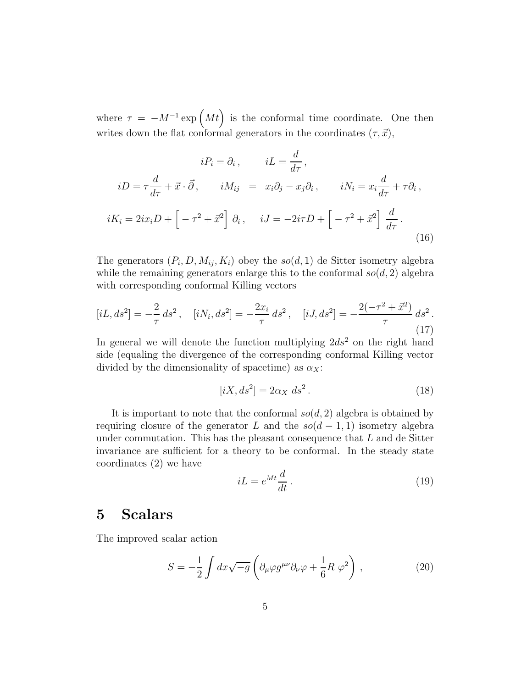where  $\tau = -M^{-1} \exp\left(Mt\right)$  is the conformal time coordinate. One then writes down the flat conformal generators in the coordinates  $(\tau, \vec{x})$ ,

$$
iP_i = \partial_i, \qquad iL = \frac{d}{d\tau},
$$
  
\n
$$
iD = \tau \frac{d}{d\tau} + \vec{x} \cdot \vec{\partial}, \qquad iM_{ij} = x_i \partial_j - x_j \partial_i, \qquad iN_i = x_i \frac{d}{d\tau} + \tau \partial_i,
$$
  
\n
$$
iK_i = 2ix_i D + \left[ -\tau^2 + \vec{x}^2 \right] \partial_i, \qquad iJ = -2i\tau D + \left[ -\tau^2 + \vec{x}^2 \right] \frac{d}{d\tau}.
$$
\n(16)

The generators  $(P_i, D, M_{ij}, K_i)$  obey the  $so(d, 1)$  de Sitter isometry algebra while the remaining generators enlarge this to the conformal  $so(d, 2)$  algebra with corresponding conformal Killing vectors

$$
[iL, ds^2] = -\frac{2}{\tau} ds^2, \quad [iN_i, ds^2] = -\frac{2x_i}{\tau} ds^2, \quad [iJ, ds^2] = -\frac{2(-\tau^2 + \vec{x}^2)}{\tau} ds^2.
$$
\n(17)

In general we will denote the function multiplying  $2ds^2$  on the right hand side (equaling the divergence of the corresponding conformal Killing vector divided by the dimensionality of spacetime) as  $\alpha_X$ :

$$
[iX, ds2] = 2\alpha_X ds2.
$$
 (18)

It is important to note that the conformal  $so(d, 2)$  algebra is obtained by requiring closure of the generator L and the  $so(d-1,1)$  isometry algebra under commutation. This has the pleasant consequence that  $L$  and de Sitter invariance are sufficient for a theory to be conformal. In the steady state coordinates (2) we have

$$
iL = e^{Mt} \frac{d}{dt} \,. \tag{19}
$$

### 5 Scalars

The improved scalar action

$$
S = -\frac{1}{2} \int dx \sqrt{-g} \left( \partial_{\mu} \varphi g^{\mu \nu} \partial_{\nu} \varphi + \frac{1}{6} R \varphi^2 \right) , \qquad (20)
$$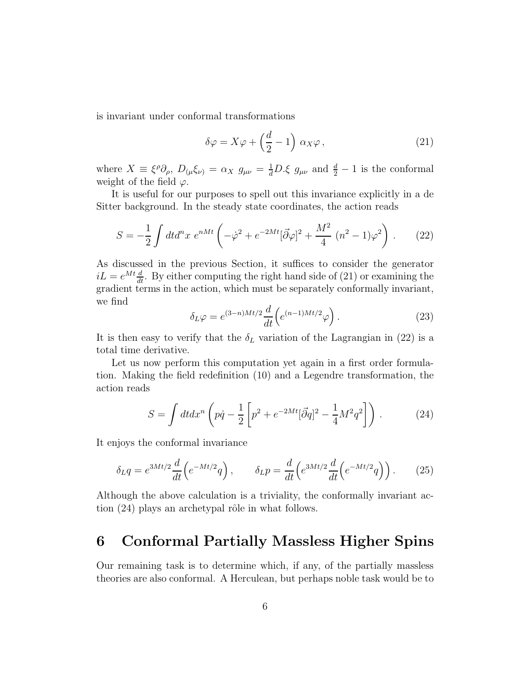is invariant under conformal transformations

$$
\delta\varphi = X\varphi + \left(\frac{d}{2} - 1\right)\,\alpha_X\varphi\,,\tag{21}
$$

where  $X \equiv \xi^{\rho} \partial_{\rho}$ ,  $D_{(\mu} \xi_{\nu)} = \alpha_X g_{\mu\nu} = \frac{1}{d} D \xi g_{\mu\nu}$  and  $\frac{d}{2} - 1$  is the conformal weight of the field  $\varphi$ .

It is useful for our purposes to spell out this invariance explicitly in a de Sitter background. In the steady state coordinates, the action reads

$$
S = -\frac{1}{2} \int dt d^nx \ e^{nMt} \left( -\dot{\varphi}^2 + e^{-2Mt} [\vec{\partial}\varphi]^2 + \frac{M^2}{4} (n^2 - 1)\varphi^2 \right) . \tag{22}
$$

As discussed in the previous Section, it suffices to consider the generator  $iL = e^{Mt} \frac{d}{dt}$ . By either computing the right hand side of (21) or examining the gradient terms in the action, which must be separately conformally invariant, we find

$$
\delta_L \varphi = e^{(3-n)Mt/2} \frac{d}{dt} \left( e^{(n-1)Mt/2} \varphi \right). \tag{23}
$$

It is then easy to verify that the  $\delta_L$  variation of the Lagrangian in (22) is a total time derivative.

Let us now perform this computation yet again in a first order formulation. Making the field redefinition (10) and a Legendre transformation, the action reads

$$
S = \int dt dx^{n} \left( p\dot{q} - \frac{1}{2} \left[ p^{2} + e^{-2Mt} [\vec{\partial}q]^{2} - \frac{1}{4} M^{2} q^{2} \right] \right) . \tag{24}
$$

It enjoys the conformal invariance

$$
\delta_L q = e^{3Mt/2} \frac{d}{dt} \left( e^{-Mt/2} q \right), \qquad \delta_L p = \frac{d}{dt} \left( e^{3Mt/2} \frac{d}{dt} \left( e^{-Mt/2} q \right) \right). \tag{25}
$$

Although the above calculation is a triviality, the conformally invariant action  $(24)$  plays an archetypal rôle in what follows.

# 6 Conformal Partially Massless Higher Spins

Our remaining task is to determine which, if any, of the partially massless theories are also conformal. A Herculean, but perhaps noble task would be to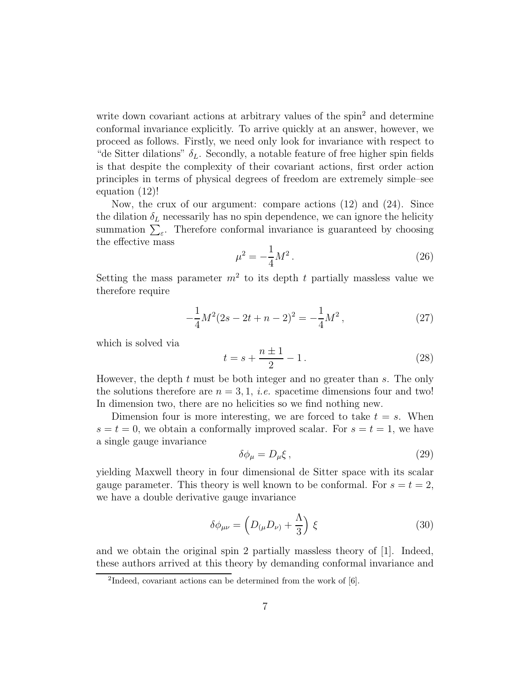write down covariant actions at arbitrary values of the spin<sup>2</sup> and determine conformal invariance explicitly. To arrive quickly at an answer, however, we proceed as follows. Firstly, we need only look for invariance with respect to "de Sitter dilations"  $\delta_L$ . Secondly, a notable feature of free higher spin fields is that despite the complexity of their covariant actions, first order action principles in terms of physical degrees of freedom are extremely simple–see equation (12)!

Now, the crux of our argument: compare actions (12) and (24). Since the dilation  $\delta_L$  necessarily has no spin dependence, we can ignore the helicity summation  $\sum_{\varepsilon}$ . Therefore conformal invariance is guaranteed by choosing the effective mass

$$
\mu^2 = -\frac{1}{4}M^2\,. \tag{26}
$$

Setting the mass parameter  $m^2$  to its depth t partially massless value we therefore require

$$
-\frac{1}{4}M^2(2s - 2t + n - 2)^2 = -\frac{1}{4}M^2,
$$
\n(27)

which is solved via

$$
t = s + \frac{n \pm 1}{2} - 1.
$$
 (28)

However, the depth  $t$  must be both integer and no greater than  $s$ . The only the solutions therefore are  $n = 3, 1, i.e.$  spacetime dimensions four and two! In dimension two, there are no helicities so we find nothing new.

Dimension four is more interesting, we are forced to take  $t = s$ . When  $s = t = 0$ , we obtain a conformally improved scalar. For  $s = t = 1$ , we have a single gauge invariance

$$
\delta \phi_{\mu} = D_{\mu} \xi \,, \tag{29}
$$

yielding Maxwell theory in four dimensional de Sitter space with its scalar gauge parameter. This theory is well known to be conformal. For  $s = t = 2$ , we have a double derivative gauge invariance

$$
\delta\phi_{\mu\nu} = \left(D_{(\mu}D_{\nu)} + \frac{\Lambda}{3}\right)\xi\tag{30}
$$

and we obtain the original spin 2 partially massless theory of [1]. Indeed, these authors arrived at this theory by demanding conformal invariance and

<sup>&</sup>lt;sup>2</sup>Indeed, covariant actions can be determined from the work of [6].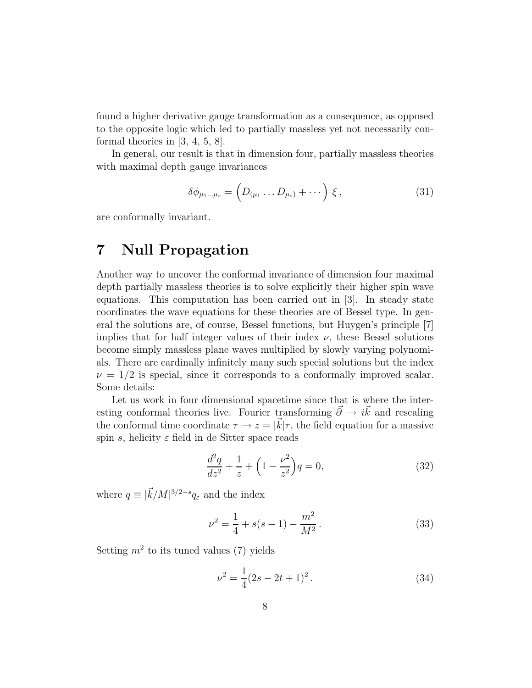found a higher derivative gauge transformation as a consequence, as opposed to the opposite logic which led to partially massless yet not necessarily conformal theories in [3, 4, 5, 8].

In general, our result is that in dimension four, partially massless theories with maximal depth gauge invariances

$$
\delta\phi_{\mu_1...\mu_s} = \left(D_{(\mu_1}...D_{\mu_s)} + \cdots\right)\xi, \qquad (31)
$$

are conformally invariant.

# 7 Null Propagation

Another way to uncover the conformal invariance of dimension four maximal depth partially massless theories is to solve explicitly their higher spin wave equations. This computation has been carried out in [3]. In steady state coordinates the wave equations for these theories are of Bessel type. In general the solutions are, of course, Bessel functions, but Huygen's principle [7] implies that for half integer values of their index  $\nu$ , these Bessel solutions become simply massless plane waves multiplied by slowly varying polynomials. There are cardinally infinitely many such special solutions but the index  $\nu = 1/2$  is special, since it corresponds to a conformally improved scalar. Some details:

Let us work in four dimensional spacetime since that is where the interesting conformal theories live. Fourier transforming  $\vec{\partial} \rightarrow i\vec{k}$  and rescaling the conformal time coordinate  $\tau \to z = |\vec{k}| \tau$ , the field equation for a massive spin s, helicity  $\varepsilon$  field in de Sitter space reads

$$
\frac{d^2q}{dz^2} + \frac{1}{z} + \left(1 - \frac{\nu^2}{z^2}\right)q = 0,\tag{32}
$$

where  $q \equiv |\vec{k}/M|^{3/2-s} q_{\varepsilon}$  and the index

$$
\nu^2 = \frac{1}{4} + s(s-1) - \frac{m^2}{M^2} \,. \tag{33}
$$

Setting  $m^2$  to its tuned values (7) yields

$$
\nu^2 = \frac{1}{4}(2s - 2t + 1)^2. \tag{34}
$$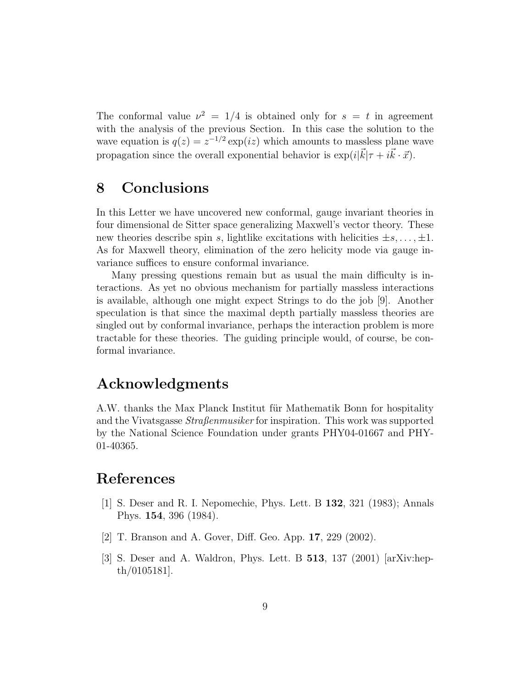The conformal value  $\nu^2 = 1/4$  is obtained only for  $s = t$  in agreement with the analysis of the previous Section. In this case the solution to the wave equation is  $q(z) = z^{-1/2} \exp(iz)$  which amounts to massless plane wave propagation since the overall exponential behavior is  $\exp(i|\vec{k}|\tau + i\vec{k} \cdot \vec{x})$ .

#### 8 Conclusions

In this Letter we have uncovered new conformal, gauge invariant theories in four dimensional de Sitter space generalizing Maxwell's vector theory. These new theories describe spin s, lightlike excitations with helicities  $\pm s, \ldots, \pm 1$ . As for Maxwell theory, elimination of the zero helicity mode via gauge invariance suffices to ensure conformal invariance.

Many pressing questions remain but as usual the main difficulty is interactions. As yet no obvious mechanism for partially massless interactions is available, although one might expect Strings to do the job [9]. Another speculation is that since the maximal depth partially massless theories are singled out by conformal invariance, perhaps the interaction problem is more tractable for these theories. The guiding principle would, of course, be conformal invariance.

## Acknowledgments

A.W. thanks the Max Planck Institut für Mathematik Bonn for hospitality and the Vivatsgasse  $Strafennusiker$  for inspiration. This work was supported by the National Science Foundation under grants PHY04-01667 and PHY-01-40365.

### References

- [1] S. Deser and R. I. Nepomechie, Phys. Lett. B 132, 321 (1983); Annals Phys. 154, 396 (1984).
- [2] T. Branson and A. Gover, Diff. Geo. App. 17, 229 (2002).
- [3] S. Deser and A. Waldron, Phys. Lett. B 513, 137 (2001) [arXiv:hepth/0105181].